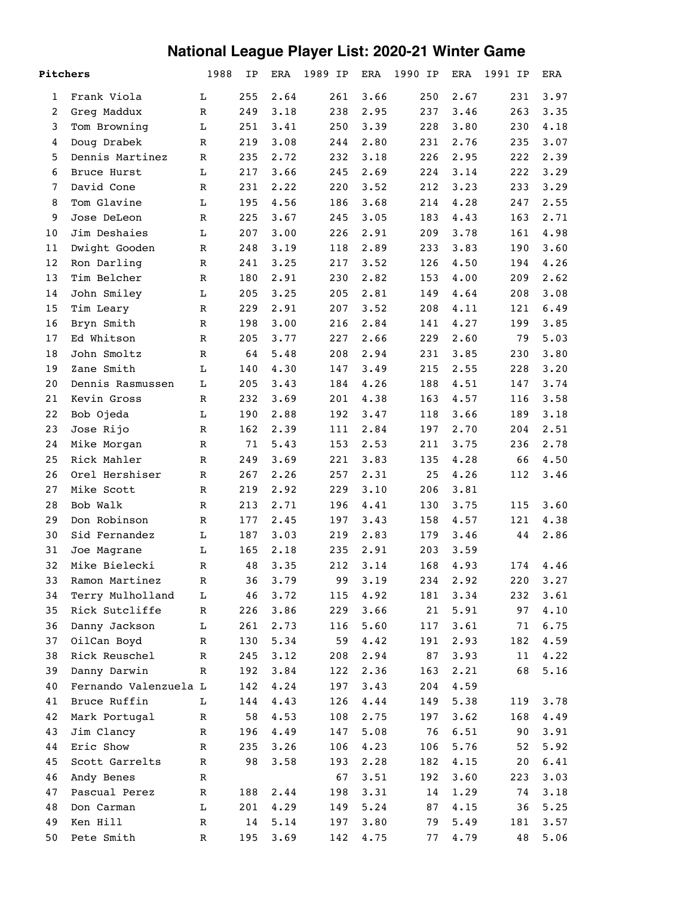## **National League Player List: 2020-21 Winter Game**

| Pitchers       |                       | 1988        | ΙP  | <b>ERA</b> | 1989 IP | ERA  | 1990 IP | ERA  | 1991 IP | ERA  |
|----------------|-----------------------|-------------|-----|------------|---------|------|---------|------|---------|------|
| 1              | Frank Viola           | L           | 255 | 2.64       | 261     | 3.66 | 250     | 2.67 | 231     | 3.97 |
| $\overline{2}$ | Greg Maddux           | R           | 249 | 3.18       | 238     | 2.95 | 237     | 3.46 | 263     | 3.35 |
| 3              | Tom Browning          | L           | 251 | 3.41       | 250     | 3.39 | 228     | 3.80 | 230     | 4.18 |
| 4              | Doug Drabek           | $\mathbb R$ | 219 | 3.08       | 244     | 2.80 | 231     | 2.76 | 235     | 3.07 |
| 5              | Dennis Martinez       | $\mathbb R$ | 235 | 2.72       | 232     | 3.18 | 226     | 2.95 | 222     | 2.39 |
| 6              | Bruce Hurst           | L           | 217 | 3.66       | 245     | 2.69 | 224     | 3.14 | 222     | 3.29 |
| 7              | David Cone            | $\mathbb R$ | 231 | 2.22       | 220     | 3.52 | 212     | 3.23 | 233     | 3.29 |
| 8              | Tom Glavine           | L           | 195 | 4.56       | 186     | 3.68 | 214     | 4.28 | 247     | 2.55 |
| 9              | Jose DeLeon           | $\mathbb R$ | 225 | 3.67       | 245     | 3.05 | 183     | 4.43 | 163     | 2.71 |
| 10             | Jim Deshaies          | L           | 207 | 3.00       | 226     | 2.91 | 209     | 3.78 | 161     | 4.98 |
| 11             | Dwight Gooden         | $\mathbb R$ | 248 | 3.19       | 118     | 2.89 | 233     | 3.83 | 190     | 3.60 |
| 12             | Ron Darling           | $\mathbb R$ | 241 | 3.25       | 217     | 3.52 | 126     | 4.50 | 194     | 4.26 |
| 13             | Tim Belcher           | $\mathbb R$ | 180 | 2.91       | 230     | 2.82 | 153     | 4.00 | 209     | 2.62 |
| 14             | John Smiley           | L           | 205 | 3.25       | 205     | 2.81 | 149     | 4.64 | 208     | 3.08 |
| 15             | Tim Leary             | $\mathbb R$ | 229 | 2.91       | 207     | 3.52 | 208     | 4.11 | 121     | 6.49 |
| 16             | Bryn Smith            | $\mathbb R$ | 198 | 3.00       | 216     | 2.84 | 141     | 4.27 | 199     | 3.85 |
| 17             | Ed Whitson            | $\mathbb R$ | 205 | 3.77       | 227     | 2.66 | 229     | 2.60 | 79      | 5.03 |
| 18             | John Smoltz           | $\mathbb R$ | 64  | 5.48       | 208     | 2.94 | 231     | 3.85 | 230     | 3.80 |
| 19             | Zane Smith            | L           | 140 | 4.30       | 147     | 3.49 | 215     | 2.55 | 228     | 3.20 |
| 20             | Dennis Rasmussen      | L           | 205 | 3.43       | 184     | 4.26 | 188     | 4.51 | 147     | 3.74 |
| 21             | Kevin Gross           | $\mathbb R$ | 232 | 3.69       | 201     | 4.38 | 163     | 4.57 | 116     | 3.58 |
| 22             | Bob Ojeda             | L           | 190 | 2.88       | 192     | 3.47 | 118     | 3.66 | 189     | 3.18 |
| 23             | Jose Rijo             | $\mathbb R$ | 162 | 2.39       | 111     | 2.84 | 197     | 2.70 | 204     | 2.51 |
| 24             | Mike Morgan           | $\mathbb R$ | 71  | 5.43       | 153     | 2.53 | 211     | 3.75 | 236     | 2.78 |
| 25             | Rick Mahler           | $\mathbb R$ | 249 | 3.69       | 221     | 3.83 | 135     | 4.28 | 66      | 4.50 |
| 26             | Orel Hershiser        | $\mathbb R$ | 267 | 2.26       | 257     | 2.31 | 25      | 4.26 | 112     | 3.46 |
| 27             | Mike Scott            | $\mathbb R$ | 219 | 2.92       | 229     | 3.10 | 206     | 3.81 |         |      |
| 28             | Bob Walk              | $\mathbb R$ | 213 | 2.71       | 196     | 4.41 | 130     | 3.75 | 115     | 3.60 |
| 29             | Don Robinson          | $\mathbb R$ | 177 | 2.45       | 197     | 3.43 | 158     | 4.57 | 121     | 4.38 |
| 30             | Sid Fernandez         | L           | 187 | 3.03       | 219     | 2.83 | 179     | 3.46 | 44      | 2.86 |
| 31             | Joe Magrane           | $\mathbf L$ | 165 | 2.18       | 235     | 2.91 | 203     | 3.59 |         |      |
| 32             | Mike Bielecki         | R           | 48  | 3.35       | 212     | 3.14 | 168     | 4.93 | 174     | 4.46 |
| 33             | Ramon Martinez        | $\mathbb R$ | 36  | 3.79       | 99      | 3.19 | 234     | 2.92 | 220     | 3.27 |
| 34             | Terry Mulholland      | L           | 46  | 3.72       | 115     | 4.92 | 181     | 3.34 | 232     | 3.61 |
| 35             | Rick Sutcliffe        | R           | 226 | 3.86       | 229     | 3.66 | 21      | 5.91 | 97      | 4.10 |
| 36             | Danny Jackson         | г           | 261 | 2.73       | 116     | 5.60 | 117     | 3.61 | 71      | 6.75 |
| 37             | OilCan Boyd           | $\mathbb R$ | 130 | 5.34       | 59      | 4.42 | 191     | 2.93 | 182     | 4.59 |
| 38             | Rick Reuschel         | R           | 245 | 3.12       | 208     | 2.94 | 87      | 3.93 | 11      | 4.22 |
| 39             | Danny Darwin          | $\mathbb R$ | 192 | 3.84       | 122     | 2.36 | 163     | 2.21 | 68      | 5.16 |
| 40             | Fernando Valenzuela L |             | 142 | 4.24       | 197     | 3.43 | 204     | 4.59 |         |      |
| 41             | Bruce Ruffin          | г           | 144 | 4.43       | 126     | 4.44 | 149     | 5.38 | 119     | 3.78 |
| 42             | Mark Portugal         | $\mathbb R$ | 58  | 4.53       | 108     | 2.75 | 197     | 3.62 | 168     | 4.49 |
| 43             | Jim Clancy            | R           | 196 | 4.49       | 147     | 5.08 | 76      | 6.51 | 90      | 3.91 |
| 44             | Eric Show             | R           | 235 | 3.26       | 106     | 4.23 | 106     | 5.76 | 52      | 5.92 |
| 45             | Scott Garrelts        | R           | 98  | 3.58       | 193     | 2.28 | 182     | 4.15 | 20      | 6.41 |
| 46             | Andy Benes            | R           |     |            | 67      | 3.51 | 192     | 3.60 | 223     | 3.03 |
| 47             | Pascual Perez         | R           | 188 | 2.44       | 198     | 3.31 | 14      | 1.29 | 74      | 3.18 |
| 48             | Don Carman            | L           | 201 | 4.29       | 149     | 5.24 | 87      | 4.15 | 36      | 5.25 |
| 49             | Ken Hill              | R           | 14  | 5.14       | 197     | 3.80 | 79      | 5.49 | 181     | 3.57 |
| 50             | Pete Smith            | R           | 195 | 3.69       | 142     | 4.75 | 77      | 4.79 | 48      | 5.06 |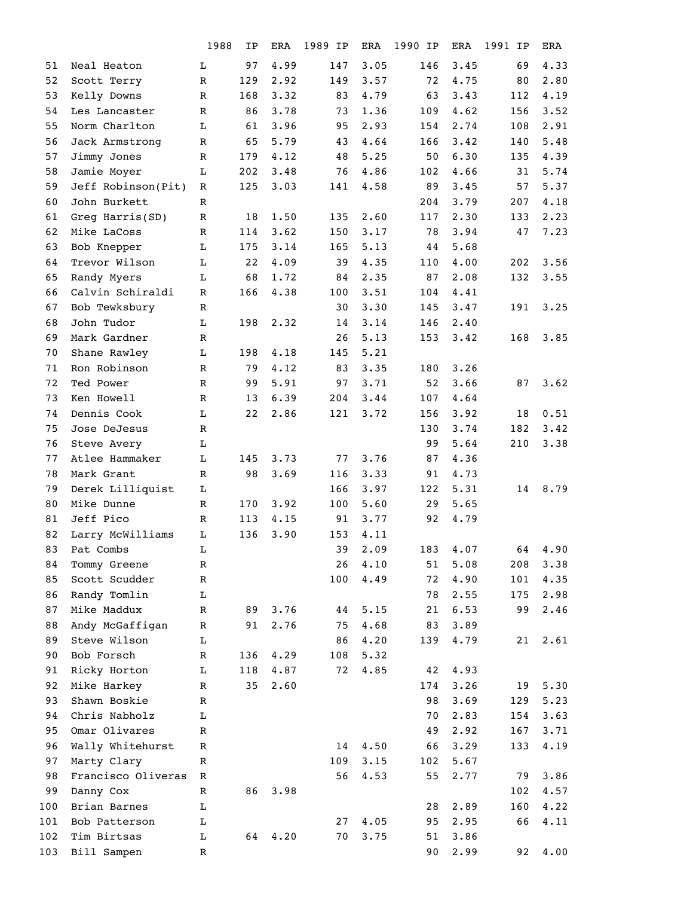|     |                    | 1988        | ΙP  | ERA  | 1989 IP | <b>ERA</b> | 1990<br>IP | ERA  | 1991<br>IP | <b>ERA</b> |
|-----|--------------------|-------------|-----|------|---------|------------|------------|------|------------|------------|
| 51  | Neal Heaton        | L           | 97  | 4.99 | 147     | 3.05       | 146        | 3.45 | 69         | 4.33       |
| 52  | Scott Terry        | ${\bf R}$   | 129 | 2.92 | 149     | 3.57       | 72         | 4.75 | 80         | 2.80       |
| 53  | Kelly Downs        | $\mathbb R$ | 168 | 3.32 | 83      | 4.79       | 63         | 3.43 | 112        | 4.19       |
| 54  | Les Lancaster      | $\mathbb R$ | 86  | 3.78 | 73      | 1.36       | 109        | 4.62 | 156        | 3.52       |
| 55  | Norm Charlton      | L           | 61  | 3.96 | 95      | 2.93       | 154        | 2.74 | 108        | 2.91       |
| 56  | Jack Armstrong     | $\mathbb R$ | 65  | 5.79 | 43      | 4.64       | 166        | 3.42 | 140        | 5.48       |
| 57  | Jimmy Jones        | $\mathbb R$ | 179 | 4.12 | 48      | 5.25       | 50         | 6.30 | 135        | 4.39       |
| 58  | Jamie Moyer        | L           | 202 | 3.48 | 76      | 4.86       | 102        | 4.66 | 31         | 5.74       |
| 59  | Jeff Robinson(Pit) | R           | 125 | 3.03 | 141     | 4.58       | 89         | 3.45 | 57         | 5.37       |
| 60  | John Burkett       | $\mathbb R$ |     |      |         |            | 204        | 3.79 | 207        | 4.18       |
| 61  | Greg Harris(SD)    | $\mathbb R$ | 18  | 1.50 | 135     | 2.60       | 117        | 2.30 | 133        | 2.23       |
| 62  | Mike LaCoss        | $\mathbb R$ | 114 | 3.62 | 150     | 3.17       | 78         | 3.94 | 47         | 7.23       |
| 63  | Bob Knepper        | L           | 175 | 3.14 | 165     | 5.13       | 44         | 5.68 |            |            |
| 64  | Trevor Wilson      | L           | 22  | 4.09 | 39      | 4.35       | 110        | 4.00 | 202        | 3.56       |
| 65  | Randy Myers        | L           | 68  | 1.72 | 84      | 2.35       | 87         | 2.08 | 132        | 3.55       |
| 66  | Calvin Schiraldi   | $\mathbb R$ | 166 | 4.38 | 100     | 3.51       | 104        | 4.41 |            |            |
| 67  | Bob Tewksbury      | $\mathbb R$ |     |      | 30      | 3.30       | 145        | 3.47 | 191        | 3.25       |
| 68  | John Tudor         | L           | 198 | 2.32 | 14      | 3.14       | 146        | 2.40 |            |            |
| 69  | Mark Gardner       | $\mathbb R$ |     |      | 26      | 5.13       | 153        | 3.42 | 168        | 3.85       |
| 70  | Shane Rawley       | L           | 198 | 4.18 | 145     | 5.21       |            |      |            |            |
| 71  | Ron Robinson       | $\mathbb R$ | 79  | 4.12 | 83      | 3.35       | 180        | 3.26 |            |            |
| 72  | Ted Power          | $\mathbb R$ | 99  | 5.91 | 97      | 3.71       | 52         | 3.66 | 87         | 3.62       |
| 73  | Ken Howell         | $\mathbb R$ | 13  | 6.39 | 204     | 3.44       | 107        | 4.64 |            |            |
| 74  | Dennis Cook        | L           | 22  | 2.86 | 121     | 3.72       | 156        | 3.92 | 18         | 0.51       |
| 75  | Jose DeJesus       | $\mathbb R$ |     |      |         |            | 130        | 3.74 | 182        | 3.42       |
| 76  | Steve Avery        | L           |     |      |         |            | 99         | 5.64 | 210        | 3.38       |
| 77  | Atlee Hammaker     | L           | 145 | 3.73 | 77      | 3.76       | 87         | 4.36 |            |            |
| 78  | Mark Grant         | $\mathbb R$ | 98  | 3.69 | 116     | 3.33       | 91         | 4.73 |            |            |
| 79  | Derek Lilliquist   | L           |     |      | 166     | 3.97       | 122        | 5.31 | 14         | 8.79       |
| 80  | Mike Dunne         | $\mathbb R$ | 170 | 3.92 | 100     | 5.60       | 29         | 5.65 |            |            |
| 81  | Jeff Pico          | R           | 113 | 4.15 | 91      | 3.77       | 92         | 4.79 |            |            |
| 82  | Larry McWilliams   | L           | 136 | 3.90 | 153     | 4.11       |            |      |            |            |
| 83  | Pat Combs          | L           |     |      | 39      | 2.09       | 183        | 4.07 | 64         | 4.90       |
| 84  | Tommy Greene       | R           |     |      | 26      | 4.10       | 51         | 5.08 | 208        | 3.38       |
| 85  | Scott Scudder      | $\mathbb R$ |     |      | 100     | 4.49       | 72         | 4.90 | 101        | 4.35       |
| 86  | Randy Tomlin       | L           |     |      |         |            | 78         | 2.55 | 175        | 2.98       |
| 87  | Mike Maddux        | $\mathbb R$ | 89  | 3.76 | 44      | 5.15       | 21         | 6.53 | 99         | 2.46       |
| 88  | Andy McGaffigan    | $\mathbb R$ | 91  | 2.76 | 75      | 4.68       | 83         | 3.89 |            |            |
| 89  | Steve Wilson       | L           |     |      | 86      | 4.20       | 139        | 4.79 | 21         | 2.61       |
| 90  | Bob Forsch         | $\mathbb R$ | 136 | 4.29 | 108     | 5.32       |            |      |            |            |
| 91  | Ricky Horton       | L           | 118 | 4.87 | 72      | 4.85       | 42         | 4.93 |            |            |
| 92  | Mike Harkey        | $\mathbb R$ | 35  | 2.60 |         |            | 174        | 3.26 | 19         | 5.30       |
| 93  | Shawn Boskie       | $\mathbb R$ |     |      |         |            | 98         | 3.69 | 129        | 5.23       |
| 94  | Chris Nabholz      | L           |     |      |         |            | 70         | 2.83 | 154        | 3.63       |
| 95  | Omar Olivares      | $\mathbb R$ |     |      |         |            | 49         | 2.92 | 167        | 3.71       |
| 96  | Wally Whitehurst   | R           |     |      | 14      | 4.50       | 66         | 3.29 | 133        | 4.19       |
| 97  | Marty Clary        | R           |     |      | 109     | 3.15       | 102        | 5.67 |            |            |
| 98  | Francisco Oliveras | $\mathbb R$ |     |      | 56      | 4.53       | 55         | 2.77 | 79         | 3.86       |
| 99  | Danny Cox          | $\mathbb R$ | 86  | 3.98 |         |            |            |      | 102        | 4.57       |
| 100 | Brian Barnes       | L           |     |      |         |            | 28         | 2.89 | 160        | 4.22       |
| 101 | Bob Patterson      | L           |     |      | 27      | 4.05       | 95         | 2.95 | 66         | 4.11       |
| 102 | Tim Birtsas        | L           | 64  | 4.20 | 70      | 3.75       | 51         | 3.86 |            |            |
| 103 | Bill Sampen        | R           |     |      |         |            | 90         | 2.99 | 92         | 4.00       |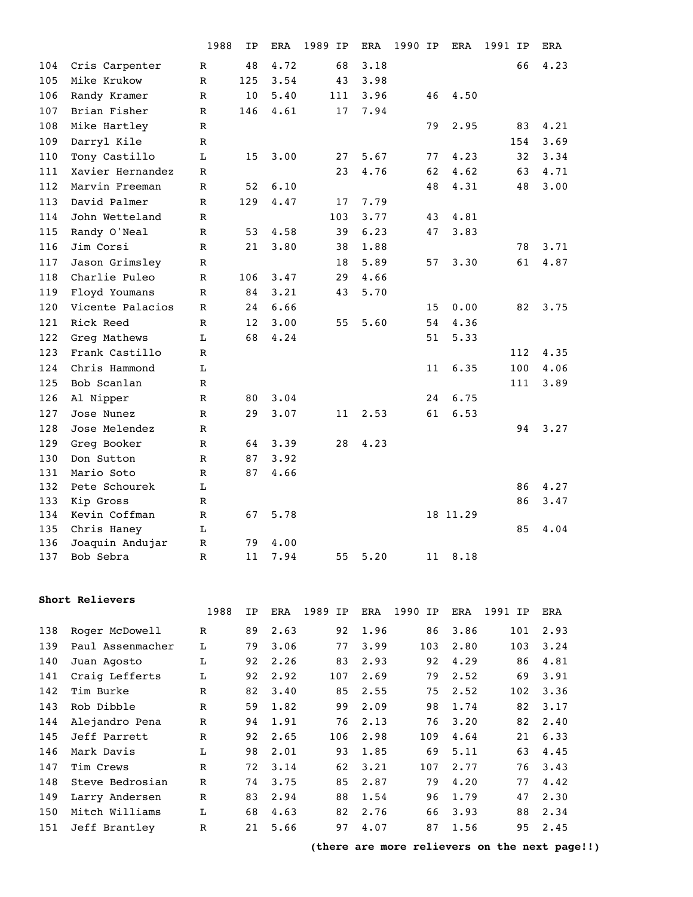|            |                              | 1988         | ΙP       | ERA          | 1989<br>IP | ERA  | 1990 IP |    | ERA      | 1991 IP | ERA  |
|------------|------------------------------|--------------|----------|--------------|------------|------|---------|----|----------|---------|------|
| 104        | Cris Carpenter               | R            | 48       | 4.72         | 68         | 3.18 |         |    |          | 66      | 4.23 |
| 105        | Mike Krukow                  | $\mathbb{R}$ | 125      | 3.54         | 43         | 3.98 |         |    |          |         |      |
| 106        | Randy Kramer                 | R            | 10       | 5.40         | 111        | 3.96 |         | 46 | 4.50     |         |      |
| 107        | Brian Fisher                 | R            | 146      | 4.61         | 17         | 7.94 |         |    |          |         |      |
| 108        | Mike Hartley                 | R            |          |              |            |      |         | 79 | 2.95     | 83      | 4.21 |
| 109        | Darryl Kile                  | R            |          |              |            |      |         |    |          | 154     | 3.69 |
| 110        | Tony Castillo                | L            | 15       | 3.00         | 27         | 5.67 |         | 77 | 4.23     | 32      | 3.34 |
| 111        | Xavier Hernandez             | $\mathbb{R}$ |          |              | 23         | 4.76 |         | 62 | 4.62     | 63      | 4.71 |
| 112        | Marvin Freeman               | $\mathbf{R}$ | 52       | 6.10         |            |      |         | 48 | 4.31     | 48      | 3.00 |
| 113        | David Palmer                 | R            | 129      | 4.47         | 17         | 7.79 |         |    |          |         |      |
| 114        | John Wetteland               | R            |          |              | 103        | 3.77 |         | 43 | 4.81     |         |      |
| 115        | Randy O'Neal                 | R            | 53       | 4.58         | 39         | 6.23 |         | 47 | 3.83     |         |      |
| 116        | Jim Corsi                    | R            | 21       | 3.80         | 38         | 1.88 |         |    |          | 78      | 3.71 |
| 117        | Jason Grimsley               | R            |          |              | 18         | 5.89 |         | 57 | 3.30     | 61      | 4.87 |
| 118        | Charlie Puleo                | $\mathbb{R}$ | 106      | 3.47         | 29         | 4.66 |         |    |          |         |      |
| 119        | Floyd Youmans                | $\mathbf{R}$ | 84       | 3.21         | 43         | 5.70 |         |    |          |         |      |
| 120        | Vicente Palacios             | R            | 24       | 6.66         |            |      |         | 15 | 0.00     | 82      | 3.75 |
| 121        | Rick Reed                    | R            | 12       | 3.00         | 55         | 5.60 |         | 54 | 4.36     |         |      |
| 122        | Greg Mathews                 | L            | 68       | 4.24         |            |      |         | 51 | 5.33     |         |      |
| 123        | Frank Castillo               | $\mathbf R$  |          |              |            |      |         |    |          | 112     | 4.35 |
| 124        | Chris Hammond                | L            |          |              |            |      |         | 11 | 6.35     | 100     | 4.06 |
| 125        | Bob Scanlan                  | R            |          |              |            |      |         |    |          | 111     | 3.89 |
| 126        | Al Nipper                    | R            | 80       | 3.04         |            |      |         | 24 | 6.75     |         |      |
| 127        | Jose Nunez                   | R            | 29       | 3.07         | 11         | 2.53 |         | 61 | 6.53     |         |      |
| 128        | Jose Melendez                | R            |          |              |            |      |         |    |          | 94      | 3.27 |
| 129        | Greg Booker                  | $\mathbb{R}$ | 64       | 3.39         | 28         | 4.23 |         |    |          |         |      |
| 130        | Don Sutton                   | R            | 87       | 3.92         |            |      |         |    |          |         |      |
| 131        | Mario Soto                   | R            | 87       | 4.66         |            |      |         |    |          |         |      |
| 132        | Pete Schourek                | L            |          |              |            |      |         |    |          | 86      | 4.27 |
| 133        | Kip Gross                    | R            |          |              |            |      |         |    |          | 86      | 3.47 |
| 134        | Kevin Coffman                | R            | 67       | 5.78         |            |      |         |    | 18 11.29 |         |      |
| 135        | Chris Haney                  | L            |          |              |            |      |         |    |          | 85      | 4.04 |
| 136<br>137 | Joaquin Andujar<br>Bob Sebra | R<br>R       | 79<br>11 | 4.00<br>7.94 | 55         | 5.20 |         | 11 | 8.18     |         |      |
|            |                              |              |          |              |            |      |         |    |          |         |      |

|     |                  | 1988         | IP | <b>ERA</b> | 1989<br>IP | <b>ERA</b> | 1990<br>IP | ERA  | 1991 IP | <b>ERA</b> |
|-----|------------------|--------------|----|------------|------------|------------|------------|------|---------|------------|
| 138 | Roger McDowell   | R            | 89 | 2.63       | 92         | 1.96       | 86         | 3.86 | 101     | 2.93       |
| 139 | Paul Assenmacher | L            | 79 | 3.06       | 77         | 3.99       | 103        | 2.80 | 103     | 3.24       |
| 140 | Juan Agosto      | г            | 92 | 2.26       | 83         | 2.93       | 92         | 4.29 | 86      | 4.81       |
| 141 | Craig Lefferts   | L            | 92 | 2.92       | 107        | 2.69       | 79         | 2.52 | 69      | 3.91       |
| 142 | Tim Burke        | R            | 82 | 3.40       | 85         | 2.55       | 75         | 2.52 | 102     | 3.36       |
| 143 | Rob Dibble       | $\mathbb{R}$ | 59 | 1.82       | 99         | 2.09       | 98         | 1.74 | 82      | 3.17       |
| 144 | Alejandro Pena   | $\mathbb R$  | 94 | 1.91       | 76         | 2.13       | 76         | 3.20 | 82      | 2.40       |
| 145 | Jeff Parrett     | $\mathbb{R}$ | 92 | 2.65       | 106        | 2.98       | 109        | 4.64 | 21      | 6.33       |
| 146 | Mark Davis       | L            | 98 | 2.01       | 93         | 1.85       | 69         | 5.11 | 63      | 4.45       |
| 147 | Tim Crews        | $\mathbb{R}$ | 72 | 3.14       | 62         | 3.21       | 107        | 2.77 | 76      | 3.43       |
| 148 | Steve Bedrosian  | $\mathbb{R}$ | 74 | 3.75       | 85         | 2.87       | 79         | 4.20 | 77      | 4.42       |
| 149 | Larry Andersen   | $\mathbb{R}$ | 83 | 2.94       | 88         | 1.54       | 96         | 1.79 | 47      | 2.30       |
| 150 | Mitch Williams   | L            | 68 | 4.63       | 82         | 2.76       | 66         | 3.93 | 88      | 2.34       |
| 151 | Jeff Brantley    | R            | 21 | 5.66       | 97         | 4.07       | 87         | 1.56 | 95      | 2.45       |

**(there are more relievers on the next page!!)**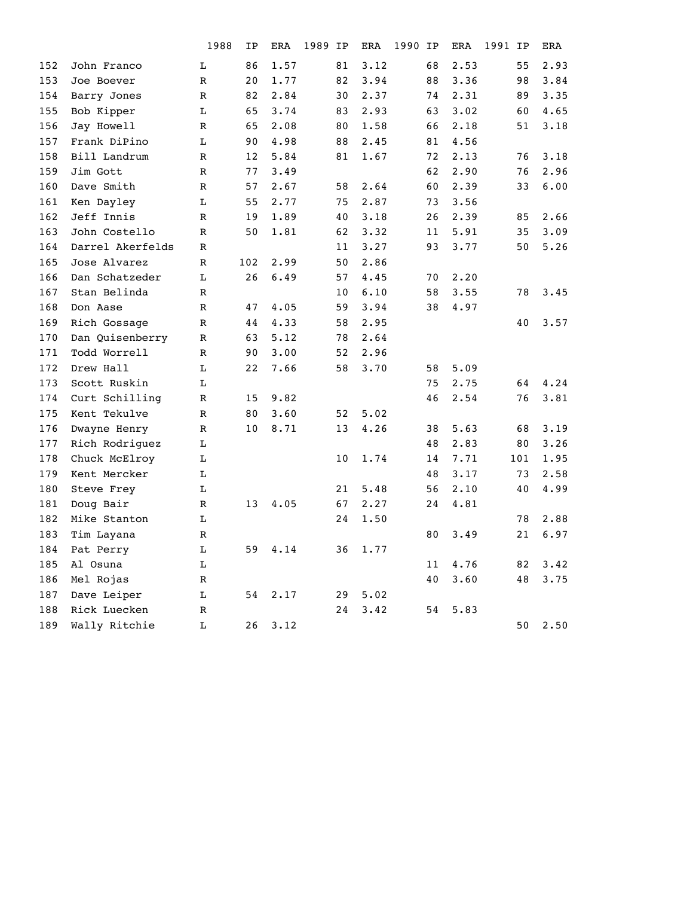|                  | 1988         | ΙP  | ERA  | IP | ERA  | IP   | ERA  | 1991 | ΙP   | ERA  |
|------------------|--------------|-----|------|----|------|------|------|------|------|------|
| John Franco      | L            | 86  | 1.57 | 81 | 3.12 | 68   | 2.53 |      | 55   | 2.93 |
| Joe Boever       | $\mathbb{R}$ | 20  | 1.77 | 82 | 3.94 | 88   | 3.36 |      | 98   | 3.84 |
| Barry Jones      | $\mathbb R$  | 82  | 2.84 | 30 | 2.37 | 74   | 2.31 |      | 89   | 3.35 |
| Bob Kipper       | L            | 65  | 3.74 | 83 | 2.93 | 63   | 3.02 |      | 60   | 4.65 |
| Jay Howell       | $\mathbb{R}$ | 65  | 2.08 | 80 | 1.58 | 66   | 2.18 |      | 51   | 3.18 |
| Frank DiPino     | L            | 90  | 4.98 | 88 | 2.45 | 81   | 4.56 |      |      |      |
| Bill Landrum     | $\mathbb R$  | 12  | 5.84 | 81 | 1.67 | 72   | 2.13 |      | 76   | 3.18 |
| Jim Gott         | $\mathbb{R}$ | 77  | 3.49 |    |      | 62   | 2.90 |      | 76   | 2.96 |
| Dave Smith       | $\mathbb R$  | 57  | 2.67 | 58 | 2.64 | 60   | 2.39 |      | 33   | 6.00 |
| Ken Dayley       | L            | 55  | 2.77 | 75 | 2.87 | 73   | 3.56 |      |      |      |
| Jeff Innis       | $\mathbb{R}$ | 19  | 1.89 | 40 | 3.18 | 26   | 2.39 |      | 85   | 2.66 |
| John Costello    | $\mathbb R$  | 50  | 1.81 | 62 | 3.32 | 11   | 5.91 |      | 35   | 3.09 |
| Darrel Akerfelds | $\mathbb R$  |     |      | 11 | 3.27 | 93   | 3.77 |      | 50   | 5.26 |
| Jose Alvarez     | R            | 102 | 2.99 | 50 | 2.86 |      |      |      |      |      |
| Dan Schatzeder   | L            | 26  | 6.49 | 57 | 4.45 | 70   | 2.20 |      |      |      |
| Stan Belinda     | $\mathbb{R}$ |     |      | 10 | 6.10 | 58   | 3.55 |      | 78   | 3.45 |
| Don Aase         | $\mathbb{R}$ | 47  | 4.05 | 59 | 3.94 | 38   | 4.97 |      |      |      |
| Rich Gossage     | $\mathbb R$  | 44  | 4.33 | 58 | 2.95 |      |      |      | 40   | 3.57 |
| Dan Quisenberry  | $\mathbb R$  | 63  | 5.12 | 78 | 2.64 |      |      |      |      |      |
| Todd Worrell     | $\mathbb R$  | 90  | 3.00 | 52 | 2.96 |      |      |      |      |      |
| Drew Hall        | L            | 22  | 7.66 | 58 | 3.70 | 58   | 5.09 |      |      |      |
| Scott Ruskin     | L            |     |      |    |      | 75   | 2.75 |      | 64   | 4.24 |
| Curt Schilling   | $\mathbb R$  | 15  | 9.82 |    |      | 46   | 2.54 |      | 76   | 3.81 |
| Kent Tekulve     | $\mathbb R$  | 80  | 3.60 | 52 | 5.02 |      |      |      |      |      |
| Dwayne Henry     | $\mathbb R$  | 10  | 8.71 | 13 | 4.26 | 38   | 5.63 |      | 68   | 3.19 |
| Rich Rodriguez   | L            |     |      |    |      | 48   | 2.83 |      | 80   | 3.26 |
| Chuck McElroy    | L            |     |      | 10 | 1.74 | 14   | 7.71 |      |      | 1.95 |
| Kent Mercker     | L            |     |      |    |      | 48   | 3.17 |      | 73   | 2.58 |
| Steve Frey       | L            |     |      | 21 | 5.48 | 56   | 2.10 |      | 40   | 4.99 |
| Doug Bair        | $\mathbb R$  | 13  | 4.05 | 67 | 2.27 | 24   | 4.81 |      |      |      |
| Mike Stanton     | L            |     |      | 24 | 1.50 |      |      |      | 78   | 2.88 |
| Tim Layana       | R            |     |      |    |      | 80   | 3.49 |      | 21   | 6.97 |
| Pat Perry        | $\mathbf L$  | 59  | 4.14 | 36 | 1.77 |      |      |      |      |      |
| Al Osuna         | $\mathbf L$  |     |      |    |      | 11   |      |      | 82   | 3.42 |
| Mel Rojas        | R            |     |      |    |      | 40   | 3.60 |      | 48   | 3.75 |
| Dave Leiper      | L            | 54  | 2.17 | 29 | 5.02 |      |      |      |      |      |
| Rick Luecken     | $\mathbb R$  |     |      | 24 | 3.42 | 54   | 5.83 |      |      |      |
| Wally Ritchie    | L            | 26  | 3.12 |    |      |      |      |      | 50   | 2.50 |
|                  |              |     |      |    | 1989 | 1990 |      |      | 4.76 | 101  |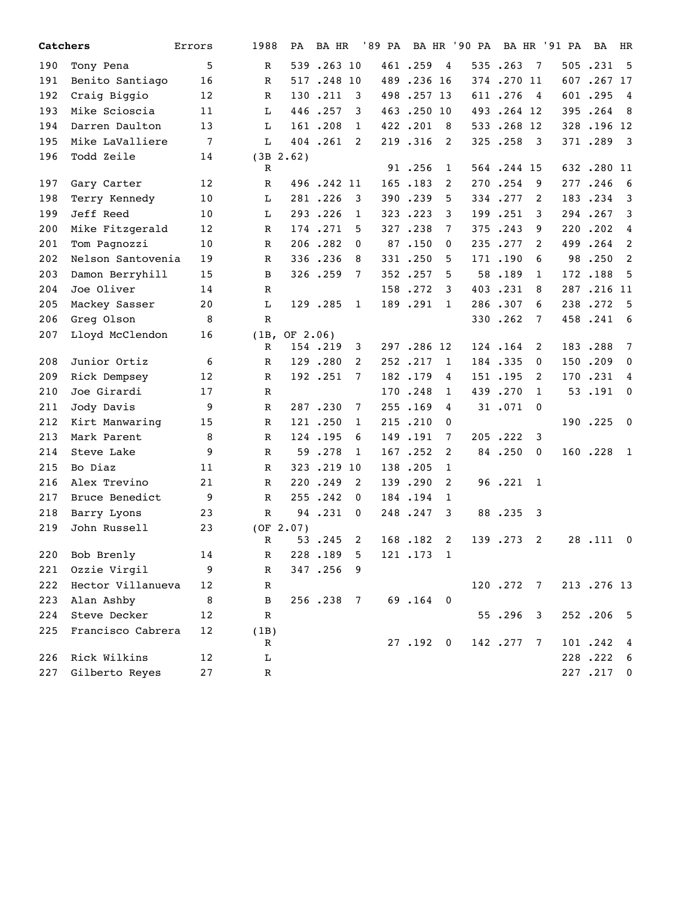| Catchers |                   | Errors | 1988         | PA            | BA HR      |                | '89 PA BA HR '90 PA |            |                |            |                | BA HR '91 PA | BA         | HR                      |
|----------|-------------------|--------|--------------|---------------|------------|----------------|---------------------|------------|----------------|------------|----------------|--------------|------------|-------------------------|
| 190      | Tony Pena         | 5      | R            |               | 539.263 10 |                |                     | 461.259    | $\overline{4}$ | 535.263    | $\overline{7}$ |              | 505.231    | $5^{\circ}$             |
| 191      | Benito Santiago   | 16     | R            |               | 517.248 10 |                |                     | 489.236 16 |                | 374.270 11 |                |              | 607.267.17 |                         |
| 192      | Craig Biggio      | 12     | $\mathbb R$  |               | 130.211    | 3              |                     | 498.257 13 |                | 611.276    | 4              |              | 601.295    | $\overline{4}$          |
| 193      | Mike Scioscia     | 11     | L            |               | 446.257    | 3              |                     | 463.250 10 |                | 493.264 12 |                |              | 395.264    | - 8                     |
| 194      | Darren Daulton    | 13     | L            |               | 161.208    | $\mathbf{1}$   |                     | 422.201    | 8              | 533.268 12 |                |              | 328.196 12 |                         |
| 195      | Mike LaValliere   | 7      | L            |               | 404.261    | 2              |                     | 219.316    | 2              | 325.258    | - 3            |              | 371.289    | $\overline{\mathbf{3}}$ |
| 196      | Todd Zeile        | 14     |              | $(3B \ 2.62)$ |            |                |                     |            |                |            |                |              |            |                         |
|          |                   |        | R            |               |            |                |                     | 91.256     | $\mathbf{1}$   | 564.244.15 |                |              | 632.280 11 |                         |
| 197      | Gary Carter       | 12     | $\mathbb R$  |               | 496.242 11 |                |                     | 165.183    | 2              | 270.254    | 9              |              | 277.246    | - 6                     |
| 198      | Terry Kennedy     | 10     | L            |               | 281.226    | 3              |                     | 390.239    | 5              | 334.277    | 2              |              | 183.234    | 3                       |
| 199      | Jeff Reed         | 10     | L            |               | 293.226    | $\mathbf{1}$   |                     | 323.223    | 3              | 199.251    | 3              |              | 294.267    | 3                       |
| 200      | Mike Fitzgerald   | 12     | R            |               | 174.271    | 5              |                     | 327.238    | 7              | 375.243    | 9              |              | 220.202    | $\overline{4}$          |
| 201      | Tom Pagnozzi      | 10     | $\mathbb R$  |               | 206.282    | 0              |                     | 87.150     | 0              | 235.277    | 2              |              | 499.264    | 2                       |
| 202      | Nelson Santovenia | 19     | R            |               | 336.236    | 8              |                     | 331.250    | 5              | 171.190    | 6              | 98           | .250       | 2                       |
| 203      | Damon Berryhill   | 15     | B            |               | 326.259    | 7              |                     | 352.257    | 5              | 58.189     | 1              |              | 172.188    | 5                       |
| 204      | Joe Oliver        | 14     | R            |               |            |                |                     | 158.272    | 3              | 403.231    | 8              |              | 287.216 11 |                         |
| 205      | Mackey Sasser     | 20     | L            |               | 129.285    | $\mathbf{1}$   |                     | 189.291    | $\mathbf{1}$   | 286.307    | 6              |              | 238.272    | 5                       |
| 206      | Greg Olson        | 8      | R            |               |            |                |                     |            |                | 330.262    | 7              |              | 458.241    | - 6                     |
| 207      | Lloyd McClendon   | 16     | (1B,         | OF 2.06)      |            |                |                     |            |                |            |                |              |            |                         |
|          |                   |        | R            |               | 154.219    | 3              |                     | 297.286 12 |                | 124.164    | 2              |              | 183.288    | $7\phantom{.0}$         |
| 208      | Junior Ortiz      | 6      | $\mathbb R$  |               | 129.280    | 2              |                     | 252.217    | 1              | 184.335    | 0              |              | 150.209    | $\mathbf{0}$            |
| 209      | Rick Dempsey      | 12     | R            |               | 192.251    | 7              |                     | 182.179    | 4              | 151.195    | 2              | 170          | .231       | 4                       |
| 210      | Joe Girardi       | 17     | R            |               |            |                |                     | 170.248    | 1              | 439.270    | 1              |              | 53.191     | $\mathbf 0$             |
| 211      | Jody Davis        | 9      | $\mathbb{R}$ |               | 287.230    | 7              |                     | 255.169    | 4              | 31.071     | $\mathbf{0}$   |              |            |                         |
| 212      | Kirt Manwaring    | 15     | R            |               | 121.250    | 1              |                     | 215.210    | 0              |            |                |              | 190.225    | $\overline{\mathbf{0}}$ |
| 213      | Mark Parent       | 8      | $\mathbb R$  |               | 124.195    | 6              |                     | 149.191    | 7              | 205.222    | 3              |              |            |                         |
| 214      | Steve Lake        | 9      | R            | 59            | .278       | $\mathbf{1}$   |                     | 167.252    | 2              | 84.250     | $\mathbf 0$    |              | 160.228    | $\mathbf{1}$            |
| 215      | Bo Diaz           | 11     | R            |               | 323.219    | 10             |                     | 138.205    | 1              |            |                |              |            |                         |
| 216      | Alex Trevino      | 21     | $\mathbb R$  |               | 220.249    | 2              |                     | 139.290    | 2              | 96.221     | 1              |              |            |                         |
| 217      | Bruce Benedict    | 9      | $\mathbb R$  |               | 255.242    | $\mathbf{0}$   |                     | 184.194    | $\mathbf{1}$   |            |                |              |            |                         |
| 218      | Barry Lyons       | 23     | R            |               | 94.231     | 0              |                     | 248.247    | 3              | 88.235     | - 3            |              |            |                         |
| 219      | John Russell      | 23     |              | (OF 2.07)     |            |                |                     |            |                |            |                |              |            |                         |
|          |                   |        | R            |               | 53.245     | 2              |                     | 168.182    | 2              | 139.273 2  |                |              | 28.111 0   |                         |
| 220      | Bob Brenly        | 14     | $\mathbb R$  |               | 228.189    | 5              |                     | 121.173    | -1             |            |                |              |            |                         |
| 221      | Ozzie Virgil      | 9      | R            |               | 347.256    | 9              |                     |            |                |            |                |              |            |                         |
| 222      | Hector Villanueva | 12     | R            |               |            |                |                     |            |                | 120.272 7  |                |              | 213.276 13 |                         |
| 223      | Alan Ashby        | 8      | B            |               | 256.238    | $\overline{7}$ |                     | 69.164 0   |                |            |                |              |            |                         |
| 224      | Steve Decker      | 12     | R            |               |            |                |                     |            |                | 55.296 3   |                |              | 252.206    | $-5$                    |
| 225      | Francisco Cabrera | 12     | (1B)         |               |            |                |                     |            |                |            |                |              |            |                         |
|          |                   |        | R            |               |            |                |                     | 27.192.0   |                | 142.277    | $\overline{7}$ |              | 101.242    | 4                       |
| 226      | Rick Wilkins      | 12     | L            |               |            |                |                     |            |                |            |                |              | 228.222    | - 6                     |
| 227      | Gilberto Reyes    | 27     | R            |               |            |                |                     |            |                |            |                |              | 227.217 0  |                         |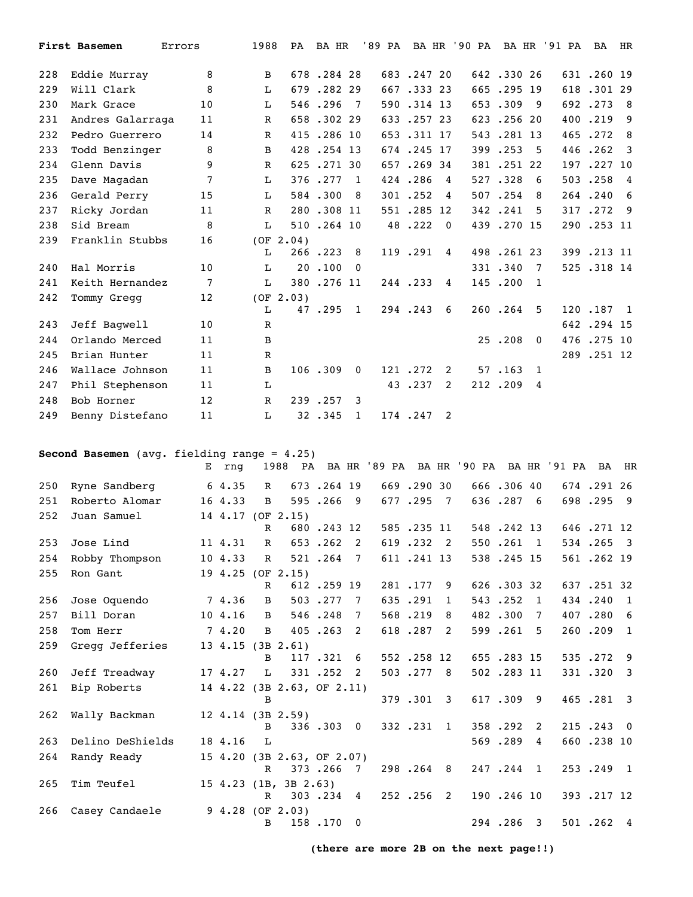|     | <b>First Basemen</b> | Errors | 1988         | PA        | BA HR      |                |            |             | '89 PA BA HR '90 PA |            |                | BA HR '91 PA | <b>BA</b>  | HR                      |
|-----|----------------------|--------|--------------|-----------|------------|----------------|------------|-------------|---------------------|------------|----------------|--------------|------------|-------------------------|
| 228 | Eddie Murray         | 8      | B            |           | 678.284.28 |                | 683.247.20 |             |                     | 642.33026  |                |              | 631.260.19 |                         |
| 229 | Will Clark           | 8      | L            |           | 679.282.29 |                | 667.33323  |             |                     | 665.295 19 |                |              | 618.301 29 |                         |
| 230 | Mark Grace           | 10     | L            |           | 546.296    | $\overline{7}$ | 590.314 13 |             |                     | 653.309    | - 9            |              | 692.273    | - 8                     |
| 231 | Andres Galarraga     | 11     | $\mathbb{R}$ |           | 658.302.29 |                | 633.25723  |             |                     | 623.25620  |                |              | 400.219    | - 9                     |
| 232 | Pedro Guerrero       | 14     | $\mathbb R$  |           | 415.286 10 |                | 653.311 17 |             |                     | 543.281 13 |                |              | 465.272    | -8                      |
| 233 | Todd Benzinger       | 8      | B            |           | 428.254 13 |                | 674.245.17 |             |                     | 399.253    | -5             |              | 446.262    | $\overline{\mathbf{3}}$ |
| 234 | Glenn Davis          | 9      | $\mathbb{R}$ |           | 625.27130  |                | 657.269 34 |             |                     | 381.25122  |                |              | 197.227 10 |                         |
| 235 | Dave Magadan         | 7      | $\mathbf{L}$ |           | 376.277    | $\mathbf{1}$   | 424.286    | 4           |                     | 527.328    | 6              |              | 503.258    | $\overline{4}$          |
| 236 | Gerald Perry         | 15     | L            |           | 584.300    | -8             | 301.252    | 4           |                     | 507.254    | 8              |              | 264.240    | 6                       |
| 237 | Ricky Jordan         | 11     | $\mathbb{R}$ |           | 280.308 11 |                | 551.285.12 |             |                     | 342.241    | .5             |              | 317.272    | - 9                     |
| 238 | Sid Bream            | 8      | L            |           | 510.264 10 |                | 48.222     | $\mathbf 0$ |                     | 439.270 15 |                |              | 290.253 11 |                         |
| 239 | Franklin Stubbs      | 16     | L            | (OF 2.04) | 266.223    | - 8            | 119.291    | 4           |                     | 498.26123  |                |              | 399.213 11 |                         |
| 240 | Hal Morris           | 10     | L            |           | 20.100     | $\overline{0}$ |            |             |                     | 331.340    | 7              |              | 525.318.14 |                         |
| 241 | Keith Hernandez      | 7      | $\mathbf{L}$ |           | 380.276 11 |                | 244.233    | 4           |                     | 145.200    | -1             |              |            |                         |
| 242 | Tommy Gregg          | 12     | L            | (OF 2.03) | 47.295 1   |                | 294.243    | 6           |                     | 260.264    | -5             |              | 120.187    | $\overline{1}$          |
| 243 | Jeff Bagwell         | 10     | $\mathbb{R}$ |           |            |                |            |             |                     |            |                |              | 642.294 15 |                         |
| 244 | Orlando Merced       | 11     | B            |           |            |                |            |             |                     | 25.208     | $\mathbf{0}$   |              | 476.275 10 |                         |
| 245 | Brian Hunter         | 11     | $\mathbb R$  |           |            |                |            |             |                     |            |                |              | 289.251 12 |                         |
| 246 | Wallace Johnson      | 11     | B            |           | 106.309    | $\Omega$       | 121.272    | 2           |                     | 57.163     | $\overline{1}$ |              |            |                         |
| 247 | Phil Stephenson      | 11     | L            |           |            |                | 43.237     | 2           |                     | 212.209    | 4              |              |            |                         |
| 248 | Bob Horner           | 12     | $\mathbb{R}$ |           | 239.257    | 3              |            |             |                     |            |                |              |            |                         |
| 249 | Benny Distefano      | 11     | $\mathbf{L}$ |           | 32.345     | 1              | 174.247    | 2           |                     |            |                |              |            |                         |

**Second Basemen** (avg. fielding range = 4.25)

|     |                  | Е | rnq     |              | 1988                       |            |                |            |                |            |    | PA BAHR '89 PA BAHR '90 PA BAHR '91 PA BAHR |            |                         |
|-----|------------------|---|---------|--------------|----------------------------|------------|----------------|------------|----------------|------------|----|---------------------------------------------|------------|-------------------------|
| 250 | Ryne Sandberg    |   | 64.35   | $\mathbb{R}$ |                            | 673.264 19 |                | 669.290 30 |                | 666.306 40 |    |                                             | 674.29126  |                         |
| 251 | Roberto Alomar   |   | 16 4.33 | B            |                            | 595.266    | - 9            | 677.295    | $\overline{7}$ | 636.287 6  |    |                                             | 698.295 9  |                         |
| 252 | Juan Samuel      |   |         | $\mathbb{R}$ | 14 4.17 (OF 2.15)          | 680.243 12 |                | 585.235 11 |                | 548.242 13 |    |                                             | 646.271 12 |                         |
| 253 | Jose Lind        |   | 11 4.31 | $\mathbb{R}$ |                            | 653.262    | 2              | 619.232 2  |                | 550.261 1  |    |                                             | 534.265 3  |                         |
| 254 | Robby Thompson   |   | 10 4.33 | $\mathbb{R}$ |                            | 521.264    | $\overline{7}$ | 611.241.13 |                | 538.245.15 |    |                                             | 561.262.19 |                         |
| 255 | Ron Gant         |   |         | $\mathbb{R}$ | 19 4.25 (OF 2.15)          | 612.259 19 |                | 281.177    | 9              | 626.30332  |    |                                             | 637.251.32 |                         |
| 256 | Jose Oquendo     |   | 7 4.36  | B            |                            | 503.277    | 7              | 635.291    | 1              | 543.252    | 1  |                                             | 434.240    | - 1                     |
| 257 | Bill Doran       |   | 10 4.16 | B            |                            | 546.248    | 7              | 568.219    | 8              | 482.300    | 7  |                                             | 407.280    | - 6                     |
| 258 | Tom Herr         |   | 74.20   | B            |                            | 405.263    | 2              | 618.287    | 2              | 599.261    | .5 |                                             | 260.209    | $\overline{1}$          |
| 259 | Gregg Jefferies  |   |         | B            | 13 4.15 (3B 2.61)          | 117.321    | 6              | 552.258.12 |                | 655.283.15 |    |                                             | 535.272    | - 9                     |
| 260 | Jeff Treadway    |   | 17 4.27 | L            |                            | 331.252    | 2              | 503.277 8  |                | 502.283 11 |    |                                             | 331.320    | $\overline{\mathbf{3}}$ |
| 261 | Bip Roberts      |   |         | B            | 14 4.22 (3B 2.63, OF 2.11) |            |                | 379.301 3  |                | 617.309 9  |    |                                             | 465.281 3  |                         |
| 262 | Wally Backman    |   |         | B.           | $12 \t4.14 \t(3B \t2.59)$  | 336.303.0  |                | 332.231    | $\mathbf{1}$   | 358.292    | 2  |                                             | 215.243    | $\overline{0}$          |
| 263 | Delino DeShields |   | 18 4.16 | $T_{1}$      |                            |            |                |            |                | 569.289    | 4  |                                             | 660.238 10 |                         |
| 264 | Randy Ready      |   |         | $\mathbf{R}$ | 15 4.20 (3B 2.63, OF 2.07) | 373.266 7  |                | 298.264 8  |                | 247.244 1  |    |                                             | 253.249 1  |                         |
| 265 | Tim Teufel       |   |         | $\mathbb{R}$ | 15 $4.23$ (1B, 3B $2.63$ ) | 303.234 4  |                | 252.256 2  |                | 190.246 10 |    |                                             | 393.217 12 |                         |
| 266 | Casey Candaele   |   |         | B            | $9, 4.28$ (OF 2.03)        | 158.170 0  |                |            |                | 294.286 3  |    |                                             | 501.262 4  |                         |

**(there are more 2B on the next page!!)**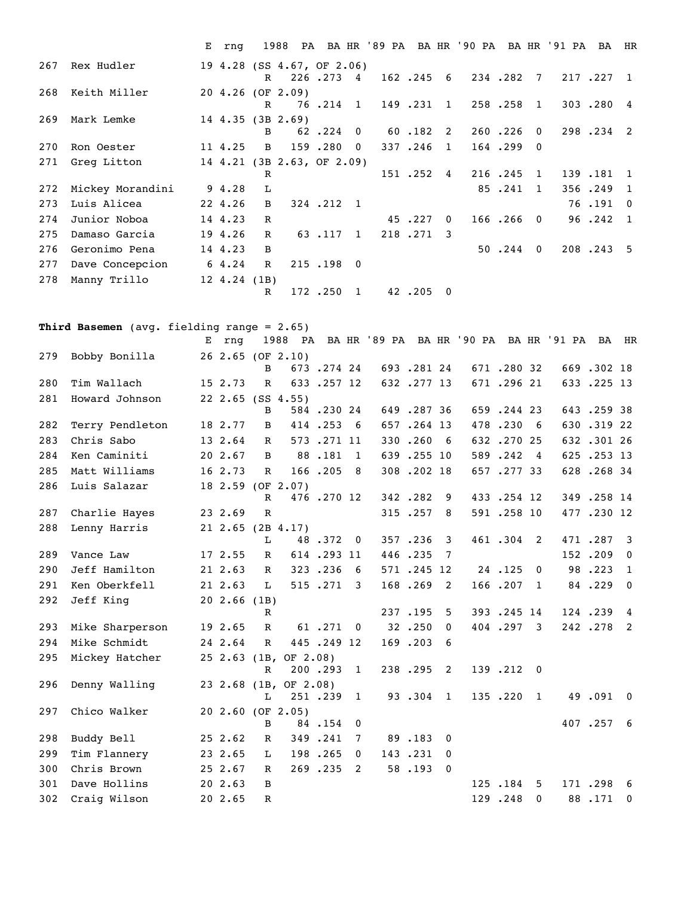|     |                  | E rng             |                |                            |           |                |                             |           |          | 1988 PA BA HR '89 PA BA HR '90 PA BA HR '91 PA |               |              | BA HR     |                |
|-----|------------------|-------------------|----------------|----------------------------|-----------|----------------|-----------------------------|-----------|----------|------------------------------------------------|---------------|--------------|-----------|----------------|
| 267 | Rex Hudler       |                   | R              | 19 4.28 (SS 4.67, OF 2.06) | 226.273 4 |                |                             |           |          | 162.245 6 234.282 7 217.227 1                  |               |              |           |                |
| 268 | Keith Miller     |                   | R              | 20 4.26 (OF 2.09)          |           |                | 76.214 1 149.231 1          |           |          |                                                | 258.258       | 1            | 303.280 4 |                |
| 269 | Mark Lemke       |                   | B              | $14$ 4.35 (3B 2.69)        |           |                | $62$ $.224$ 0 $60$ $.182$ 2 |           |          |                                                | 260.226       | $\Omega$     | 298.234 2 |                |
| 270 | Ron Oester       | 11 4.25           | $\overline{B}$ |                            | 159.280   | $\overline{0}$ |                             | 337.246 1 |          |                                                | $164$ . 299 0 |              |           |                |
| 271 | Greg Litton      |                   |                | 14 4.21 (3B 2.63, OF 2.09) |           |                |                             |           |          |                                                |               |              |           |                |
|     |                  |                   | R              |                            |           |                |                             | 151.252.4 |          |                                                | 216.245       | 1            | 139.181   | $\overline{1}$ |
| 272 | Mickey Morandini | 9 4.28            | L              |                            |           |                |                             |           |          |                                                | 85.241        | $\mathbf{1}$ | 356.249   | $\overline{1}$ |
| 273 | Luis Alicea      | 22 4.26           | B              |                            | 324.212 1 |                |                             |           |          |                                                |               |              | 76.191    | $\Omega$       |
| 274 | Junior Noboa     | 14 4.23           | $\mathbb{R}$   |                            |           |                |                             | 45.227    | $\Omega$ |                                                | $166, 266$ 0  |              | 96.242    | $\overline{1}$ |
| 275 | Damaso Garcia    | 19 4.26           | $\mathbb{R}$   |                            | 63.117 1  |                |                             | 218.271 3 |          |                                                |               |              |           |                |
| 276 | Geronimo Pena    | 14 4.23           | $\mathbf{B}$   |                            |           |                |                             |           |          |                                                | 50.244.0      |              | 208.243 5 |                |
| 277 | Dave Concepcion  | 6 4.24            | $\mathbb{R}$   |                            | 215.198 0 |                |                             |           |          |                                                |               |              |           |                |
| 278 | Manny Trillo     | $12 \t4.24 \t(B)$ |                |                            |           |                |                             |           |          |                                                |               |              |           |                |
|     |                  |                   | $\mathbb{R}$   |                            | 172.250 1 |                |                             | 42.205 0  |          |                                                |               |              |           |                |

**Third Basemen** (avg. fielding range = 2.65)

|     |                 | Е | rnq                       | 1988         |                       |            |                          |            |              |            |                | PA BAHR '89 PA BAHR '90 PA BAHR '91 PA BAHR |            |                         |
|-----|-----------------|---|---------------------------|--------------|-----------------------|------------|--------------------------|------------|--------------|------------|----------------|---------------------------------------------|------------|-------------------------|
| 279 | Bobby Bonilla   |   |                           | B            | 26 2.65 (OF 2.10)     | 673.274.24 |                          | 693.28124  |              | 671.28032  |                |                                             | 669.302 18 |                         |
| 280 | Tim Wallach     |   | 15 2.73                   | $\mathbb{R}$ |                       | 633.257 12 |                          | 632.277 13 |              | 671.29621  |                |                                             | 633.225 13 |                         |
| 281 | Howard Johnson  |   | 22 2.65 (SS 4.55)         | B            |                       | 584.23024  |                          | 649.287 36 |              | 659.244 23 |                |                                             | 643.259 38 |                         |
| 282 | Terry Pendleton |   | 18 2.77                   | B            |                       | 414.253    | - 6                      | 657.264 13 |              | 478.230    | - 6            |                                             | 630.31922  |                         |
| 283 | Chris Sabo      |   | 13 2.64                   | $\mathbb{R}$ |                       | 573.271 11 |                          | 330.260    | - 6          | 632.27025  |                |                                             | 632.30126  |                         |
| 284 | Ken Caminiti    |   | 20 2.67                   | B            |                       | 88.181     | $\mathbf{1}$             | 639.255 10 |              | 589.242    | $\overline{4}$ |                                             | 625.253 13 |                         |
| 285 | Matt Williams   |   | 16 2.73                   | $\mathbf{R}$ |                       | 166.205    | - 8                      | 308.202 18 |              | 657.277.33 |                |                                             | 628.268.34 |                         |
| 286 | Luis Salazar    |   | 18 2.59 (OF 2.07)         | $\mathbb{R}$ |                       | 476.270 12 |                          | 342.282    | 9            | 433.254 12 |                |                                             | 349.258 14 |                         |
| 287 | Charlie Hayes   |   | 23 2.69                   | $\mathbb R$  |                       |            |                          | 315.257    | 8            | 591.258 10 |                |                                             | 477.230 12 |                         |
| 288 | Lenny Harris    |   | $21$ $2.65$ $(2B$ $4.17)$ | L            |                       | 48.372     | $\overline{\phantom{0}}$ | 357.236    | 3            | 461.304    | 2              |                                             | 471.287    | $\overline{\mathbf{3}}$ |
| 289 | Vance Law       |   | 17 2.55                   | R            |                       | 614.293 11 |                          | 446.235    | 7            |            |                |                                             | 152.209    | $\mathbf{0}$            |
| 290 | Jeff Hamilton   |   | 21 2.63                   | R            |                       | 323.236    | 6                        | 571.245.12 |              | 24.125     | $\mathbf{0}$   |                                             | 98.223     | 1                       |
| 291 | Ken Oberkfell   |   | 21 2.63                   | T.           |                       | 515.271    | 3                        | 168.269    | 2            | 166.207    | 1              |                                             | 84.229     | $\overline{0}$          |
| 292 | Jeff King       |   | $20$ 2.66 (1B)            |              |                       |            |                          |            |              |            |                |                                             |            |                         |
|     |                 |   |                           | $\mathbb{R}$ |                       |            |                          | 237.195    | 5            | 393.245 14 |                |                                             | 124.239    | $\overline{4}$          |
| 293 | Mike Sharperson |   | 19 2.65                   | $\mathbb{R}$ |                       | 61.271     | $\overline{0}$           | 32.250     | $\mathbf{0}$ | 404.297    | 3              |                                             | 242.278    | $\overline{2}$          |
| 294 | Mike Schmidt    |   | 24 2.64                   | $\mathbb{R}$ |                       | 445.249 12 |                          | 169.203    | 6            |            |                |                                             |            |                         |
| 295 | Mickey Hatcher  |   | $25 \t2.63 \t(B,$         | R            | OF 2.08)              | 200.293    | $\mathbf{1}$             | 238.295    | 2            | 139.212    | $\overline{0}$ |                                             |            |                         |
| 296 | Denny Walling   |   |                           | L            | 23 2.68 (1B, OF 2.08) | 251.239    | $\mathbf{1}$             | 93.304     | $\mathbf{1}$ | 135.220    | 1              |                                             | 49.091     | $\overline{\mathbf{0}}$ |
| 297 | Chico Walker    |   |                           | B            | $202.60$ (OF $2.05$ ) | 84.154     | 0                        |            |              |            |                |                                             | 407.257    | 6                       |
| 298 | Buddy Bell      |   | 252.62                    | R            |                       | 349.241    | 7                        | 89.183     | $\mathbf{0}$ |            |                |                                             |            |                         |
| 299 | Tim Flannery    |   | 23 2.65                   | L            |                       | 198.265    | $\mathbf{0}$             | 143.231    | $\mathbf{0}$ |            |                |                                             |            |                         |
| 300 | Chris Brown     |   | 25 2.67                   | $\mathbb{R}$ |                       | 269.235    | 2                        | 58.193     | $\mathbf 0$  |            |                |                                             |            |                         |
| 301 | Dave Hollins    |   | 20 2.63                   | B            |                       |            |                          |            |              | 125.184    | 5              |                                             | 171.298    | -6                      |
| 302 | Craig Wilson    |   | 20 2.65                   | $\mathbb{R}$ |                       |            |                          |            |              | 129.248    | $\mathbf{0}$   |                                             | 88.171     | $\mathbf{0}$            |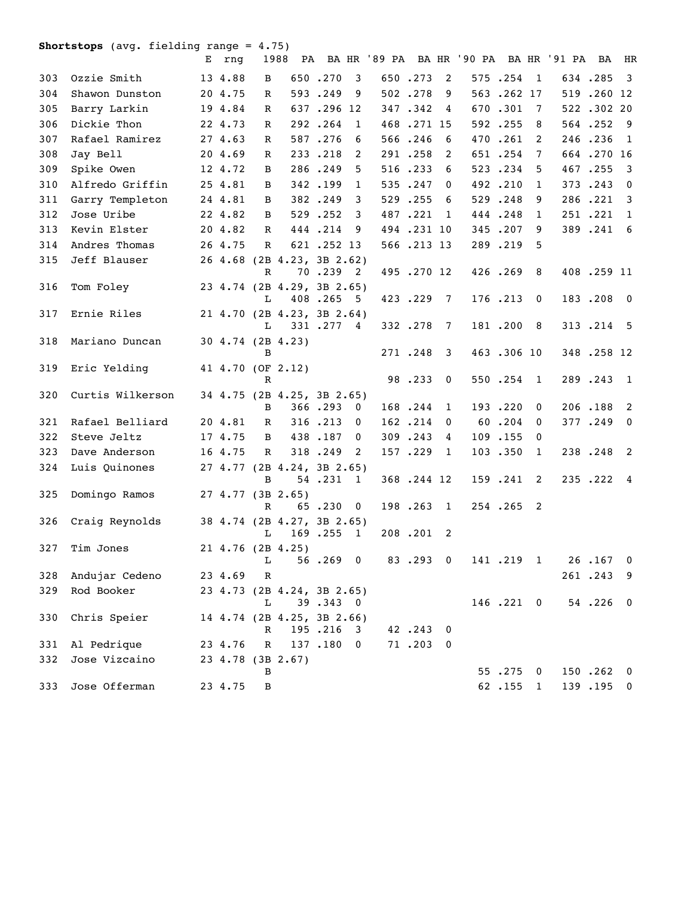**Shortstops** (avg. fielding range = 4.75)

|     |                  | E rnq   |              | 1988                                     |            |                         | PA BAHR '89 PA BAHR '90 PA BAHR '91 PA BAHR |            |                 |  |            |                         |  |            |                         |
|-----|------------------|---------|--------------|------------------------------------------|------------|-------------------------|---------------------------------------------|------------|-----------------|--|------------|-------------------------|--|------------|-------------------------|
| 303 | Ozzie Smith      | 13 4.88 | B            |                                          | 650.270    | 3                       |                                             | 650.273    | $\overline{2}$  |  | 575.254    | $\overline{1}$          |  | 634.285    | $\overline{\mathbf{3}}$ |
| 304 | Shawon Dunston   | 20 4.75 | R            |                                          | 593.249    | 9                       |                                             | 502.278    | 9               |  | 563.262 17 |                         |  | 519.260 12 |                         |
| 305 | Barry Larkin     | 19 4.84 | $\mathbb{R}$ |                                          | 637.296 12 |                         |                                             | 347.342    | 4               |  | 670.301    | 7                       |  | 522.30220  |                         |
| 306 | Dickie Thon      | 22 4.73 | R            |                                          | 292.264    | $\mathbf{1}$            |                                             | 468.271 15 |                 |  | 592.255    | 8                       |  | 564.252    | - 9                     |
| 307 | Rafael Ramirez   | 27 4.63 | $\mathbb R$  |                                          | 587.276    | 6                       |                                             | 566.246    | 6               |  | 470.261    | 2                       |  | 246.236    | $\mathbf{1}$            |
| 308 | Jay Bell         | 20 4.69 | R            |                                          | 233.218    | 2                       |                                             | 291.258    | 2               |  | 651.254    | 7                       |  | 664.270 16 |                         |
| 309 | Spike Owen       | 12 4.72 | B            |                                          | 286.249    | 5                       |                                             | 516.233    | 6               |  | 523.234    | 5                       |  | 467.255    | $\overline{\mathbf{3}}$ |
| 310 | Alfredo Griffin  | 25 4.81 | В            |                                          | 342.199    | $\mathbf{1}$            |                                             | 535.247    | 0               |  | 492.210    | 1                       |  | 373.243    | $\overline{\mathbf{0}}$ |
| 311 | Garry Templeton  | 24 4.81 | B            |                                          | 382.249    | 3                       |                                             | 529.255    | 6               |  | 529.248    | 9                       |  | 286.221 3  |                         |
| 312 | Jose Uribe       | 22 4.82 | B            |                                          | 529.252    | 3                       |                                             | 487.221    | - 1             |  | 444.248    | $\mathbf{1}$            |  | 251.221 1  |                         |
| 313 | Kevin Elster     | 20 4.82 | $\mathbb{R}$ |                                          | 444.214    | 9                       |                                             | 494.231 10 |                 |  | 345.207    | 9                       |  | 389.241 6  |                         |
| 314 | Andres Thomas    | 26 4.75 | $\mathbb{R}$ |                                          | 621.252.13 |                         |                                             | 566.213 13 |                 |  | 289.219    | 5                       |  |            |                         |
| 315 | Jeff Blauser     |         | $\mathbf R$  | 26 4.68 (2B 4.23, 3B 2.62)               | 70.239 2   |                         |                                             | 495.270 12 |                 |  | 426.269 8  |                         |  | 408.259 11 |                         |
| 316 | Tom Foley        |         | L            | 23 4.74 (2B 4.29, 3B 2.65)               | 408.265 5  |                         |                                             | 423.229    | $\overline{7}$  |  | 176.213    | $\overline{\mathbf{0}}$ |  | 183.208 0  |                         |
| 317 | Ernie Riles      |         | L            | 21 4.70 (2B 4.23, 3B 2.64)               | 331.277 4  |                         |                                             | 332.278    | $7\phantom{.0}$ |  | 181.200    | - 8                     |  | 313.214 5  |                         |
| 318 | Mariano Duncan   |         | B            | 30 4.74 (2B 4.23)                        |            |                         |                                             | 271.248    | 3               |  | 463.306 10 |                         |  | 348.258 12 |                         |
| 319 | Eric Yelding     |         | $\mathbb{R}$ | 41 4.70 (OF 2.12)                        |            |                         |                                             | 98.233     | $\mathbf 0$     |  | 550.254    | 1                       |  | 289.243    | $\overline{1}$          |
| 320 | Curtis Wilkerson |         |              | 34 4.75 (2B 4.25, 3B 2.65)               |            |                         |                                             |            |                 |  |            |                         |  |            |                         |
|     |                  |         | B            |                                          | 366.293 0  |                         |                                             | 168.244    | 1               |  | 193.220    | $\mathbf{0}$            |  | 206.188    | $\overline{2}$          |
| 321 | Rafael Belliard  | 20 4.81 | R            |                                          | 316.213    | 0                       |                                             | 162.214    | 0               |  | 60.204     | $\Omega$                |  | 377.249 0  |                         |
| 322 | Steve Jeltz      | 17 4.75 | B            |                                          | 438.187    | 0                       |                                             | 309.243    | 4               |  | 109.155    | $\Omega$                |  |            |                         |
| 323 | Dave Anderson    | 16 4.75 | $\mathbb{R}$ |                                          | 318.249    | 2                       |                                             | 157.229    | -1              |  | 103.350    | $\mathbf{1}$            |  | 238.248 2  |                         |
| 324 | Luis Quinones    |         | B            | 27 4.77 (2B 4.24, 3B 2.65)               | 54.231 1   |                         |                                             | 368.244 12 |                 |  | 159.241 2  |                         |  | 235.222 4  |                         |
| 325 | Domingo Ramos    |         |              | 27 4.77 (3B 2.65)                        |            |                         |                                             |            |                 |  |            |                         |  |            |                         |
| 326 | Craig Reynolds   |         | R            | 38 4.74 (2B 4.27, 3B 2.65)               | 65.230     | $\overline{\mathbf{0}}$ |                                             | 198.263 1  |                 |  | 254.265 2  |                         |  |            |                         |
| 327 | Tim Jones        |         |              | L 169.255 1<br>$21 \t4.76 \t(2B \t4.25)$ |            |                         |                                             | 208.201 2  |                 |  |            |                         |  |            |                         |
|     |                  |         | L            |                                          | 56.269 0   |                         |                                             | 83.293 0   |                 |  | 141.219 1  |                         |  | 26.167 0   |                         |
| 328 | Andujar Cedeno   | 23 4.69 | $\mathbf R$  |                                          |            |                         |                                             |            |                 |  |            |                         |  | 261.243    | - 9                     |
| 329 | Rod Booker       |         | L            | 23 4.73 (2B 4.24, 3B 2.65)               | 39.343 0   |                         |                                             |            |                 |  | 146.221 0  |                         |  | 54.226     | $\overline{\mathbf{0}}$ |
| 330 | Chris Speier     |         | R            | 14 4.74 (2B 4.25, 3B 2.66)               | 195.216    | 3                       |                                             | 42.243     | $\mathbf 0$     |  |            |                         |  |            |                         |
| 331 | Al Pedrique      | 23 4.76 | $\mathbb R$  |                                          | 137.180 0  |                         |                                             | 71.203 0   |                 |  |            |                         |  |            |                         |
| 332 | Jose Vizcaino    |         | В            | 23 4.78 (3B 2.67)                        |            |                         |                                             |            |                 |  | 55.275     | $\overline{\mathbf{0}}$ |  | 150.262 0  |                         |
| 333 | Jose Offerman    | 23 4.75 | B            |                                          |            |                         |                                             |            |                 |  | 62.155     | $\mathbf{1}$            |  | 139.195 0  |                         |
|     |                  |         |              |                                          |            |                         |                                             |            |                 |  |            |                         |  |            |                         |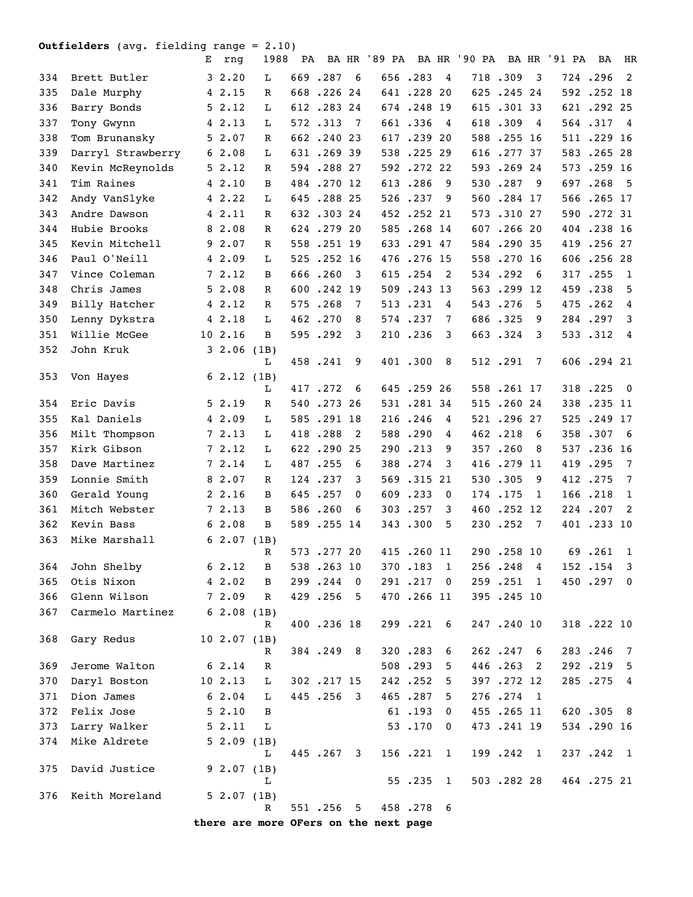## **Outfielders** (avg. fielding range = 2.10)

|     |                   | Е | rnq               | 1988                                   |     |             |             |            |                         | PA BA HR '89 PA BA HR '90 PA |            |                         | BA HR '91 PA | BA          | HR                      |
|-----|-------------------|---|-------------------|----------------------------------------|-----|-------------|-------------|------------|-------------------------|------------------------------|------------|-------------------------|--------------|-------------|-------------------------|
| 334 | Brett Butler      |   | 32.20             | L                                      |     | 669.287     | - 6         | 656.283    | $\overline{4}$          |                              | 718.309    | $\overline{\mathbf{3}}$ |              | 724.296     | $\overline{2}$          |
| 335 | Dale Murphy       |   | 4 2.15            | R                                      |     | 668.226.24  |             | 641.228 20 |                         |                              | 625.245.24 |                         |              | 592.252 18  |                         |
| 336 | Barry Bonds       |   | 52.12             | L                                      |     | 612.283.24  |             | 674.248 19 |                         |                              | 615.30133  |                         |              | 621.29225   |                         |
| 337 | Tony Gwynn        |   | $4\;\;2.13$       | L                                      |     | 572.313     | 7           | 661.336    | $\overline{4}$          |                              | 618.309    | $\overline{4}$          |              | 564.317     | $\overline{4}$          |
| 338 | Tom Brunansky     |   | 52.07             | R                                      |     | 662.24023   |             | 617.239 20 |                         |                              | 588.255 16 |                         |              | 511 .229 16 |                         |
| 339 | Darryl Strawberry |   | 62.08             | L                                      |     | 631.269 39  |             | 538.225.29 |                         |                              | 616.277.37 |                         |              | 583.26528   |                         |
| 340 | Kevin McReynolds  |   | 52.12             | R                                      |     | 594.288 27  |             | 592.272.22 |                         |                              | 593.26924  |                         |              | 573.259 16  |                         |
| 341 | Tim Raines        |   | 42.10             | B                                      |     | 484.270 12  |             | 613.286    | 9                       |                              | 530.287    | 9                       |              | 697.268     | - 5                     |
| 342 | Andy VanSlyke     |   | 42.22             | L                                      |     | 645.288.25  |             | 526.237    | 9                       |                              | 560.284 17 |                         |              | 566.265 17  |                         |
| 343 | Andre Dawson      |   | 4 2.11            | R                                      |     | 632.30324   |             | 452.252.21 |                         |                              | 573.31027  |                         |              | 590.272 31  |                         |
| 344 | Hubie Brooks      |   | 8 2.08            | R                                      |     | 624.279 20  |             | 585.268 14 |                         |                              | 607.266 20 |                         |              | 404 .238 16 |                         |
| 345 | Kevin Mitchell    |   | 92.07             | R                                      |     | 558.251 19  |             | 633.291 47 |                         |                              | 584.290 35 |                         |              | 419.256 27  |                         |
| 346 | Paul O'Neill      |   | 4 2.09            | L                                      |     | 525.252 16  |             | 476.276 15 |                         |                              | 558.270 16 |                         |              | 606.25628   |                         |
| 347 | Vince Coleman     |   | 72.12             | B                                      |     | 666.260     | 3           | 615.254    | 2                       |                              | 534.292    | 6                       |              | 317.255     | 1                       |
| 348 | Chris James       |   | 52.08             | $\mathbb{R}$                           | 600 | .242 19     |             | 509.243 13 |                         |                              | 563.299 12 |                         |              | 459.238     | 5                       |
| 349 | Billy Hatcher     |   | 4 2.12            | R                                      |     | 575.268     | 7           | 513.231    | 4                       |                              | 543.276    | 5                       |              | 475.262     | $\overline{4}$          |
| 350 | Lenny Dykstra     |   | 4 2.18            | L                                      |     | 462.270     | 8           | 574.237    | 7                       |                              | 686.325    | 9                       |              | 284.297     | 3                       |
| 351 | Willie McGee      |   | 10 2.16           | B                                      |     | 595.292     | 3           | 210.236    | 3                       |                              | 663.324    | 3                       |              | 533.312     | $\overline{4}$          |
| 352 | John Kruk         |   | $3\;\;2.06$       | (1B)                                   |     |             |             |            |                         |                              |            |                         |              |             |                         |
|     |                   |   |                   | L                                      |     | 458.241     | 9           | 401.300    | 8                       |                              | 512.291    | 7                       |              | 606.294 21  |                         |
| 353 | Von Hayes         |   | 62.12(1B)         |                                        |     |             |             |            |                         |                              |            |                         |              |             |                         |
|     |                   |   |                   | L                                      |     | 417.272     | 6           | 645.25926  |                         |                              | 558.261 17 |                         |              | 318.225     | $\overline{\mathbf{0}}$ |
| 354 | Eric Davis        |   | 52.19             | R                                      |     | 540.273 26  |             | 531.28134  |                         |                              | 515.260.24 |                         |              | 338.235 11  |                         |
| 355 | Kal Daniels       |   | 42.09             | L                                      |     | 585.291 18  |             | 216.246    | 4                       |                              | 521.29627  |                         |              | 525.249 17  |                         |
| 356 | Milt Thompson     |   | 7 2.13            | L                                      |     | 418.288     | 2           | 588.290    | 4                       |                              | 462.218    | 6                       |              | 358.307     | - 6                     |
| 357 | Kirk Gibson       |   | 72.12             | L                                      |     | 622.29025   |             | 290.213    | 9                       |                              | 357.260    | 8                       |              | 537.236 16  |                         |
| 358 | Dave Martinez     |   | 7 2.14            | L                                      |     | 487.255     | 6           | 388.274    | 3                       |                              | 416.279 11 |                         | 419          | .295        | $\overline{7}$          |
| 359 | Lonnie Smith      |   | 8 2.07            | R                                      |     | 124.237     | 3           | 569.315 21 |                         |                              | 530.305    | 9                       |              | 412.275     | $7\overline{ }$         |
| 360 | Gerald Young      |   | 2, 2.16           | B                                      |     | 645.257     | 0           | 609.233    | 0                       |                              | 174.175    | 1                       |              | 166.218     | 1                       |
| 361 | Mitch Webster     |   | 72.13             | B                                      |     | 586.260     | 6           | 303.257    | 3                       |                              | 460.252.12 |                         |              | 224.207     | - 2                     |
| 362 | Kevin Bass        |   | 62.08             | B                                      |     | 589.255 14  |             | 343.300    | 5                       |                              | 230.252    | 7                       |              | 401 .233 10 |                         |
| 363 | Mike Marshall     |   | 62.07(1B)         |                                        |     | 573.27720   |             | 415.260 11 |                         |                              | 290.258 10 |                         |              | 69.261 1    |                         |
| 364 | John Shelby       |   | 62.12             | R<br>$\mathbf{B}$                      |     | 538.263 10  |             | 370.183 1  |                         |                              | 256.248 4  |                         |              | 152.154 3   |                         |
| 365 | Otis Nixon        |   | 42.02             | В                                      |     | 299.244     | $\mathbf 0$ | 291.217    |                         |                              | 259.251    | 1                       |              | 450.297 0   |                         |
| 366 | Glenn Wilson      |   | 72.09             | R                                      |     | 429.256     | 5           | 470.266 11 | $\overline{\mathbf{0}}$ |                              | 395.245 10 |                         |              |             |                         |
| 367 | Carmelo Martinez  |   | 62.08(1B)         |                                        |     |             |             |            |                         |                              |            |                         |              |             |                         |
|     |                   |   |                   | R                                      |     | 400 .236 18 |             | 299.221 6  |                         |                              | 247.240 10 |                         |              | 318.222 10  |                         |
| 368 | Gary Redus        |   | $10 \t2.07 \t(B)$ |                                        |     |             |             |            |                         |                              |            |                         |              |             |                         |
|     |                   |   |                   | R                                      |     | 384.249 8   |             | 320.283    | 6                       |                              | 262.247    | - 6                     |              | 283.246     | $\overline{7}$          |
| 369 | Jerome Walton     |   | $6\;\;2.14$       | R                                      |     |             |             | 508.293    | 5                       |                              | 446.263    | -2                      |              | 292.219 5   |                         |
| 370 | Daryl Boston      |   | 102.13            | L                                      |     | 302.217 15  |             | 242.252    | 5                       |                              | 397.272 12 |                         |              | 285.275 4   |                         |
| 371 | Dion James        |   | $6\;\;2.04$       | L                                      |     | 445.256 3   |             | 465.287    | 5                       |                              | 276.274 1  |                         |              |             |                         |
| 372 | Felix Jose        |   | 52.10             | B                                      |     |             |             | 61.193     | $\mathbf{0}$            |                              | 455.265 11 |                         |              | 620.305 8   |                         |
| 373 | Larry Walker      |   | 52.11             | L                                      |     |             |             | 53.170     | $\mathbf{0}$            |                              | 473.241 19 |                         |              | 534.290 16  |                         |
| 374 | Mike Aldrete      |   | 52.09(1B)         |                                        |     |             |             |            |                         |                              |            |                         |              |             |                         |
|     |                   |   |                   | L                                      |     | 445.267     | 3           | 156.221 1  |                         |                              | 199.242 1  |                         |              | 237.242 1   |                         |
| 375 | David Justice     |   | 92.07(1B)         |                                        |     |             |             |            |                         |                              |            |                         |              |             |                         |
|     |                   |   |                   | L                                      |     |             |             | 55.235 1   |                         |                              | 503.282.28 |                         |              | 464.275 21  |                         |
| 376 | Keith Moreland    |   | 52.07(1B)         | R                                      |     | 551.256     | 5           | 458.278 6  |                         |                              |            |                         |              |             |                         |
|     |                   |   |                   | there are more Offers on the next name |     |             |             |            |                         |                              |            |                         |              |             |                         |

**there are more OFers on the next page**